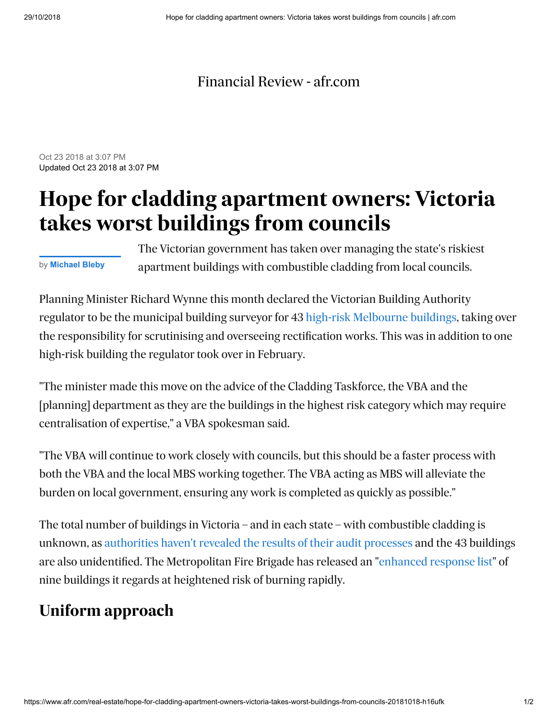## [Financial Review - afr.com](https://www.afr.com/)

Oct 23 2018 at 3:07 PM Updated Oct 23 2018 at 3:07 PM

## **Hope for cladding apartment owners: Victoria takes worst buildings from councils**

by **[Michael Bleby](https://www.afr.com/real-estate/michael-bleby-j67se.html)**

The Victorian government has taken over managing the state's riskiest apartment buildings with combustible cladding from local councils.

Planning Minister Richard Wynne this month declared the Victorian Building Authority regulator to be the municipal building surveyor for 43 [high-risk Melbourne buildings,](https://www.afr.com/real-estate/victoria-cladding-replacement-loan-scheme-unworkable-industry-says-20181012-h16k4k) taking over the responsibility for scrutinising and overseeing rectification works. This was in addition to one high-risk building the regulator took over in February.

"The minister made this move on the advice of the Cladding Taskforce, the VBA and the [planning] department as they are the buildings in the highest risk category which may require centralisation of expertise," a VBA spokesman said.

"The VBA will continue to work closely with councils, but this should be a faster process with both the VBA and the local MBS working together. The VBA acting as MBS will alleviate the burden on local government, ensuring any work is completed as quickly as possible."

The total number of buildings in Victoria – and in each state – with combustible cladding is unknown, as [authorities haven't revealed the results of their audit processes](https://www.afr.com/real-estate/tighter-credit-cladding-secrecy-creates-information-gap-for-banks-lenders-20181003-h16757) and the 43 buildings are also unidentified. The Metropolitan Fire Brigade has released an "[enhanced response list](https://www.theage.com.au/national/victoria/council-orders-brunswick-block-owners-to-fix-flammable-cladding-20171207-h00f43.html)" of nine buildings it regards at heightened risk of burning rapidly.

## **Uniform approach**